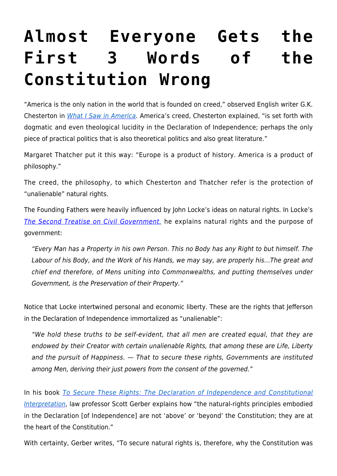## **[Almost Everyone Gets the](https://intellectualtakeout.org/2017/07/almost-everyone-gets-the-first-3-words-of-the-constitution-wrong/) [First 3 Words of the](https://intellectualtakeout.org/2017/07/almost-everyone-gets-the-first-3-words-of-the-constitution-wrong/) [Constitution Wrong](https://intellectualtakeout.org/2017/07/almost-everyone-gets-the-first-3-words-of-the-constitution-wrong/)**

"America is the only nation in the world that is founded on creed," observed English writer G.K. Chesterton in [What I Saw in America](http://www.ignatiusinsight.com/features/gk_america_nov04.asp). America's creed, Chesterton explained, "is set forth with dogmatic and even theological lucidity in the Declaration of Independence; perhaps the only piece of practical politics that is also theoretical politics and also great literature."

Margaret Thatcher put it this way: "Europe is a product of history. America is a product of philosophy."

The creed, the philosophy, to which Chesterton and Thatcher refer is the protection of "unalienable" natural rights.

The Founding Fathers were heavily influenced by John Locke's ideas on natural rights. In Locke's [The Second Treatise on Civil Government,](http://press-pubs.uchicago.edu/founders/documents/v1ch16s3.html) he explains natural rights and the purpose of government:

"Every Man has a Property in his own Person. This no Body has any Right to but himself. The Labour of his Body, and the Work of his Hands, we may say, are properly his…The great and chief end therefore, of Mens uniting into Commonwealths, and putting themselves under Government, is the Preservation of their Property."

Notice that Locke intertwined personal and economic liberty. These are the rights that Jefferson in the Declaration of Independence immortalized as "unalienable":

"We hold these truths to be self-evident, that all men are created equal, that they are endowed by their Creator with certain unalienable Rights, that among these are Life, Liberty and the pursuit of Happiness. — That to secure these rights, Governments are instituted among Men, deriving their just powers from the consent of the governed."

In his book [To Secure These Rights: The Declaration of Independence and Constitutional](http://amzn.to/2tRMoy8) [Interpretation](http://amzn.to/2tRMoy8), law professor Scott Gerber explains how "the natural-rights principles embodied in the Declaration [of Independence] are not 'above' or 'beyond' the Constitution; they are at the heart of the Constitution."

With certainty, Gerber writes, "To secure natural rights is, therefore, why the Constitution was